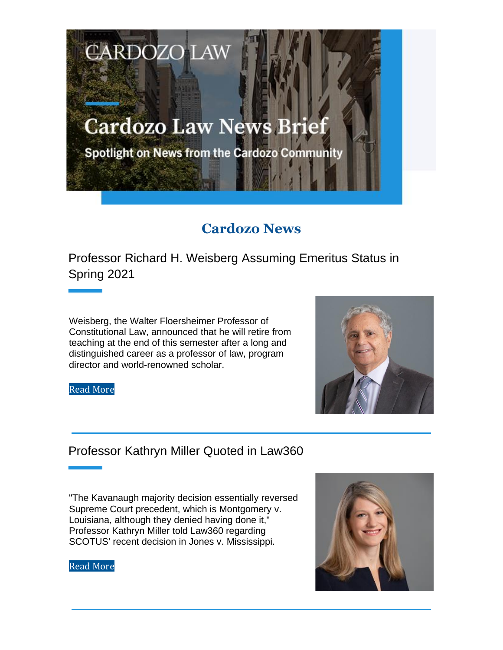# **Cardozo Law News Brief**

**CARDOZO LAW** 

Spotlight on News from the Cardozo Community

# **Cardozo News**

Professor Richard H. Weisberg Assuming Emeritus Status in Spring 2021

Weisberg, the Walter Floersheimer Professor of Constitutional Law, announced that he will retire from teaching at the end of this semester after a long and distinguished career as a professor of law, program director and world-renowned scholar.

Read More



#### Professor Kathryn Miller Quoted in Law360

"The Kavanaugh majority decision essentially reversed Supreme Court precedent, which is Montgomery v. Louisiana, although they denied having done it," Professor Kathryn Miller told Law360 regarding SCOTUS' recent decision in Jones v. Mississippi.



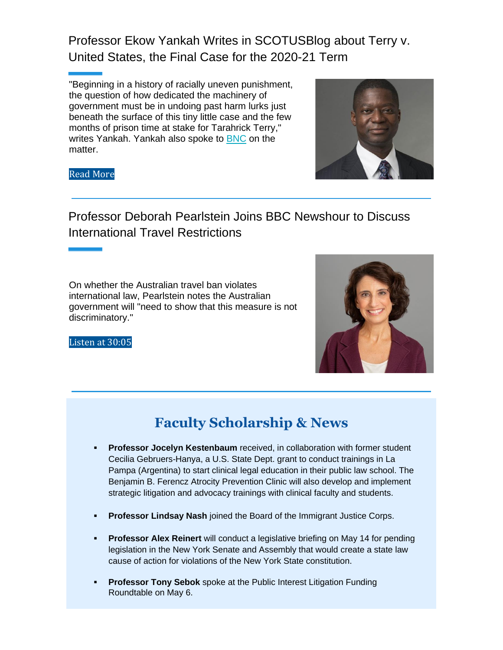Professor Ekow Yankah Writes in SCOTUSBlog about Terry v. United States, the Final Case for the 2020-21 Term

"Beginning in a history of racially uneven punishment, the question of how dedicated the machinery of government must be in undoing past harm lurks just beneath the surface of this tiny little case and the few months of prison time at stake for Tarahrick Terry," writes Yankah. Yankah also spoke to **BNC** on the matter.



#### Read More

## Professor Deborah Pearlstein Joins BBC Newshour to Discuss International Travel Restrictions

On whether the Australian travel ban violates international law, Pearlstein notes the Australian government will "need to show that this measure is not discriminatory."



Listen at 30:05

## **Faculty Scholarship & News**

- **Professor Jocelyn Kestenbaum** received, in collaboration with former student Cecilia Gebruers-Hanya, a U.S. State Dept. grant to conduct trainings in La Pampa (Argentina) to start clinical legal education in their public law school. The Benjamin B. Ferencz Atrocity Prevention Clinic will also develop and implement strategic litigation and advocacy trainings with clinical faculty and students.
- **Professor Lindsay Nash** joined the Board of the Immigrant Justice Corps.
- **Professor Alex Reinert** will conduct a legislative briefing on May 14 for pending legislation in the New York Senate and Assembly that would create a state law cause of action for violations of the New York State constitution.
- **Professor Tony Sebok** spoke at the Public Interest Litigation Funding Roundtable on May 6.